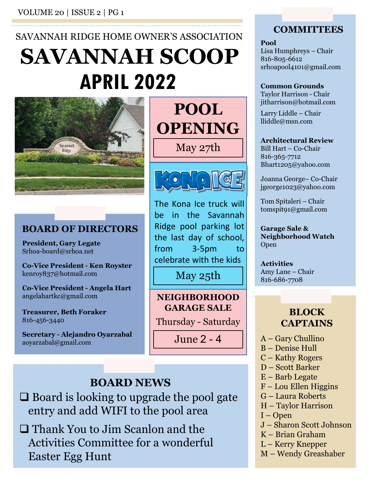VOLUME 20 | ISSUE 2 | PG 1

# SAVANNAH RIDGE HOME OWNER'S ASSOCIATION APRIL 2022 SAVANNAH SCOOP Lisa Humphreys - Chair



President, Gary Legate Srhoa-board@srhoa.net

kenroy837@hotmail.com

angelahartkc@gmail.com

Treasurer, Beth Foraker 816-456-3440

aoyarzabal@gmail.com

**SCOOP**<br>
Si6-805-6612<br>
Si6-805-6612<br>
shoapool4101@gmail.com<br>
Taylor Harrison Chair<br>
Taylor Harrison Chair<br>
May 27th<br>
May 27th<br>
May 27th<br>
May 27th<br>
May 27th<br>
Mathema Ice truck will<br>
Manna George-Co-Chair<br>
Mathema Ice truck May 27th Bill Hart – Co-Chair **POOL** Larry Liddle - Chair OPENING



The Kona Ice truck will<br>
BOARD OF DIRECTORS<br>
President, Gary Legate<br>
Shoa-board@srhoa.net<br>
Shoa-board@srhoa.net<br>
Co-Vice President - Ken Royster<br>
Co-Vice President - Ken Royster<br>
Co-Vice President - Angela Hart<br>
Co-Vice Pr **BOARD OF DIRECTORS** Ridge pool parking lot Jgeorgenoe3@yahoo.com<br>
(Sona Ice truck will<br>
m the Savannah<br>
Pool parking lot<br>
pool parking lot<br>
3-5pm to<br>
Trate with the kids<br>
May 25th<br>
May 25th<br>
May 25th<br>
May 25th<br>
Amy Lane – Chair<br>
May 25th<br>
May 25th<br>
May Lane – Chair Magnetics May 25th<br>
The Kona Ice truck will<br>
De in the Savannah<br>
Nidge pool parking lot<br>
Savannah<br>
Nidge pool parking lot<br>
Sarage Sale &<br>
The last day of school, Neighborhood Watch<br>
The same Savannah<br>
Savannah<br>
Savannah<br>
S  $\begin{tabular}{|c|c|} \hline \multicolumn{1}{c|}{ \textbf{22}} & \multicolumn{1}{c|}{ \textbf{common Grounds}} \\ \hline \multicolumn{1}{c|}{ \textbf{POOL}} & \multicolumn{1}{c|}{ \textbf{Common Grounds}}\\ \hline \multicolumn{1}{c|}{ \textbf{POOL}} & \multicolumn{1}{c|}{ \textbf{Common Grounds}}\\ \hline \multicolumn{1}{c|}{ \textbf{May 27th}} & \multicolumn{1}{c|}{ \textbf{I} \textbf{in} \textbf{r} \textbf{in} \textbf{c} \textbf{hat}}\\ \hline \multicolumn{1}{c|}{ \$ **POOL**<br> **POOL**<br> **Righter School**<br> **Righter School**<br> **Righter School**<br> **Righter School**<br> **Righter School**<br> **Righter Cooling School**<br> **Righter Cooling School**<br> **Righter Cooling School**<br> **Righter School**<br> **Righter School**<br> **EXEMPTON SUBBEAT AND CONTRACT CONTRACT SUBBEAT AND CONTRACT SUBBEAT AND SUBBEAT AND SUBBEAT AND SUBBEAT AND SUBBEAT AND SUBBEAT AND SUBBEAT AND RESPONSIVED A SUBBEAT AND RESPONSIVED A SUBBEAT AND CONTRACT ON SUBBEAT AND C POOL**<br>
May 27th<br>
May 27th<br>
May 27th<br>
May 27th<br>
May 27th<br>
May 27th<br>
May 27th<br>
May 27th<br>
May 27th<br>
May 27th<br>
May 27th<br>
May 27th<br>
May 27th<br>
Manna George-Co-Chair<br>
Manna George-Co-Chair<br>
Manna George-Co-Chair<br>
Manna George-Co FUUL<br>
May 27th<br>
May 27th<br>
May 27th<br>
May 27th<br>
May 27th<br>
Bill Hart – Co-Chair<br>
Bill Hart – Co-Chair<br>
Bill Hart – Co-Chair<br>
Bill Hart – Co-Chair<br>
Bill Hart – Co-Chair<br>
Bill Hart – Co-Chair<br>
Bill Hart – Co-Chair<br>
Bill Hart –

**NEIGHBORHOOD** GARAGE SALE

## **BOARD NEWS**  $E -$ Barb Legate<br>F - Lou Ellen Higgins

 $\Box$  Board is looking to upgrade the pool gate  $\Box$   $G$  – Laura Roberts entry and add WIFI to the pool area  $\frac{H - IayR}{I - Open}$ 

 Thank You to Jim Scanlon and the Activities Committee for a wonderful L-Kerry Knepper Easter Egg Hunt

#### **COMMITTEES**

Pool

**COMMITTEES**<br>
Pool<br>
Lisa Humphreys – Chair<br>
816-805-6612<br>
srhoapool4101@gmail.com<br>
Common Grounds 816-805-6612 srhoapool4101@gmail.com **COMMITTEES**<br> **Pool**<br>
Lisa Humphreys – Chair<br>
816-805-6612<br>
srhoapool4101@gmail.com<br> **Common Grounds**<br>
Taylor Harrison - Chair<br>
jitharrison@hotmail.com<br>
Larry Liddle – Chair<br>
Iliddle@msn.com **COMMITTEES**<br>
Pool<br>
Lisa Humphreys – Chair<br>
816-805-6612<br>
srhoapool4101@gmail.com<br> **Common Grounds**<br>
Taylor Harrison - Chair<br>
jitharrison@hotmail.com<br>
Larry Liddle – Chair<br>
lliddle@msn.com<br> **Architectural Review**<br>
Bill Har **COMMITTEES**<br>
Pool<br>
Lisa Humphreys – Chair<br>
816-805-6612<br>
srhoapool4101@gmail.com<br> **Common Grounds**<br>
Taylor Harrison - Chair<br>
jitharrison@hotmail.com<br>
Larry Liddle – Chair<br>
lliddle@msn.com<br> **Architectural Review**<br>
Bill Har **COMMITTEES**<br> **Pool**<br>
Lisa Humphreys – Chair<br>
816-805-6612<br>
srhoapool4101@gmail.com<br> **Common Grounds**<br>
Taylor Harrison - Chair<br>
jitharrison@hotmail.com<br>
Larry Liddle – Chair<br>
lliddle@msn.com<br> **Architectural Review**<br>
Bill H roof<br>Lisa Humphreys – Chair<br>816-805-6612<br>srhoapool4101@gmail.com<br>Common Grounds<br>Taylor Harrison - Chair<br>jitharrison@hotmail.com<br>Larry Liddle – Chair<br>Marchitectural Review<br>Bill Hart – Co-Chair<br>816-365-7712<br>Bhart1205@yahoo.c

#### Common Grounds

jitharrison@hotmail.com

lliddle@msn.com

#### Architectural Review

816-365-7712 Bhart1205@yahoo.com

jgeorge1023@yahoo.com

tomspit91@gmail.com

Garage Sale & Neighborhood Watch Open Larry Ladde – Chair<br>
lliddle@msn.com<br>
Architectural Review<br>
Bill Hart – Co-Chair<br>
816-365-7712<br>
Bhart1205@yahoo.com<br>
Joanna George– Co-Chair<br>
igeorge1023@yahoo.com<br>
Tom Spitaleri – Chair<br>
tomspit91@gmail.com<br>
Garage Sale & igeorge1023@yahoo.com<br>Tom Spitaleri – Chair<br>tomspit91@gmail.com<br>**Garage Sale &<br>Neighborhood Watch**<br>Open<br>**Activities**<br>Amy Lane – Chair<br>**BLOCK<br>CAPTAINS**<br>A – Gary Chullino<br>B – Denise Hull<br>C – Kathy Rogers<br>D – Scott Barker<br>E – Tom Spitaleri – Chair<br>tomspit91@gmail.com<br>G**arage Sale &**<br>**Neighborhood Watch**<br>Open<br>**Activities**<br>Amy Lane – Chair<br>816-686-7708<br>**BLOCK<br>CAPTAINS**<br>A – Gary Chullino<br>B – Denise Hull<br>C – Kathy Rogers<br>D – Scott Barker<br>E – Barb L Iom Spitaleri – Chair<br>
tomspitg1@gmail.com<br> **Garage Sale &**<br> **Neighborhood Watch**<br>
Open<br> **Activities**<br>
Amy Lane – Chair<br>
816-686-7708<br> **BLOCK<br>
CAPTAINS**<br>
A – Gary Chullino<br>
B – Denise Hull<br>
C – Kathy Rogers<br>
D – Scott Bark Comspreytiggman.com<br>
Garage Sale &<br>
Neighborhood Watch<br>
Open<br>
Activities<br>
Amy Lane – Chair<br>
816-686-7708<br> **BLOCK<br>
CAPTAINS**<br>
A – Gary Chullino<br>
B – Denise Hull<br>
C – Kathy Rogers<br>
D – Scott Barker<br>
E – Barb Legate<br>
F – Lou Garage Sale &<br>
Neighborhood Watch<br>
Open<br>
Activities<br>
Amy Lane – Chair<br>
816-686-7708<br> **BLOCK<br>
CAPTAINS**<br>
A – Gary Chullino<br>
B – Denise Hull<br>
C – Kathy Rogers<br>
D – Scott Barker<br>
E – Barb Legate<br>
F – Lou Ellen Higgins<br>
G – La **Sarage sale &<br>
Neighborhood Watch**<br>
Open<br> **Activities**<br>
Amy Lane – Chair<br>
816-686-7708<br> **BLOCK<br>
CAPTAINS**<br>
A – Gary Chullino<br>
B – Denise Hull<br>
C – Kathy Rogers<br>
D – Scott Barker<br>
E – Barb Legate<br>
F – Lou Ellen Higgins<br>
G

Activities 816-686-7708 Open<br>
Activities<br>
Amy Lane – Chair<br>
816-686-7708<br> **BLOCK<br>
CAPTAINS**<br>
A – Gary Chullino<br>
B – Denise Hull<br>
C – Kathy Rogers<br>
D – Scott Barker<br>
E – Barb Legate<br>
F – Lou Ellen Higgins<br>
G – Laura Roberts<br>
H – Taylor Harrison<br>
I Activities<br>
Amy Lane – Chair<br>
816-686-7708<br> **BLOCK<br>
CAPTAINS**<br>
A – Gary Chullino<br>
B – Denise Hull<br>
C – Kathy Rogers<br>
D – Scott Barker<br>
E – Barb Legate<br>
F – Lou Ellen Higgins<br>
G – Laura Roberts<br>
H – Taylor Harrison<br>
I – Ope Activities<br>Amy Lane – Chair<br>816-686-7708<br>**BLOCK<br>CAPTAINS**<br>A – Gary Chullino<br>B – Denise Hull<br>C – Kathy Rogers<br>D – Scott Barker<br>E – Barb Legate<br>F – Lou Ellen Higgins<br>G – Laura Roberts<br>H – Taylor Harrison<br>I – Open<br>J – Sharon May  $25th$   $\frac{\text{Any Lane} - \text{Chair}}{816-686-7708}$ 

# Amy Lane – Chair<br>
816-686-7708<br> **BLOCK**<br> **CAPTAINS**<br>
A – Gary Chullino<br>
B – Denise Hull<br>
C – Kathy Rogers<br>
D – Scott Barker<br>
E – Barb Legate<br>
F – Lou Ellen Higgins<br>
G – Laura Roberts<br>
H – Taylor Harrison<br>
I – Open<br>J – Shar 816-686-7708<br> **BLOCK**<br> **CAPTAINS**<br>
A – Gary Chullino<br>
B – Denise Hull<br>
C – Kathy Rogers<br>
D – Scott Barker<br>
E – Barb Legate<br>
F – Lou Ellen Higgins<br>
G – Laura Roberts<br>
H – Taylor Harrison<br>
I – Open<br>J – Sharon Scott Johnson<br> **BLOCK<br>CAPTAINS**<br>A – Gary Chullino<br>B – Denise Hull<br>C – Kathy Rogers<br>D – Scott Barker<br>E – Barb Legate<br>F – Lou Ellen Higgins<br>G – Laura Roberts<br>H – Taylor Harrison<br>I – Open<br>J – Sharon Scott Johnson<br>K – Brian Graham<br>L – Kerry **BLOCK<br>CAPTAINS**<br>A – Gary Chullino<br>B – Denise Hull<br>C – Kathy Rogers<br>D – Scott Barker<br>E – Barb Legate<br>F – Lou Ellen Higgins<br>G – Laura Roberts<br>H – Taylor Harrison<br>I – Open<br>J – Sharon Scott Johnson<br>K – Brian Graham<br>L – Kerry **BLOCK CAPTAINS**

- 
- 
- 
- 
- 
- 
- 
- 
- 
- 
- 
- 
-